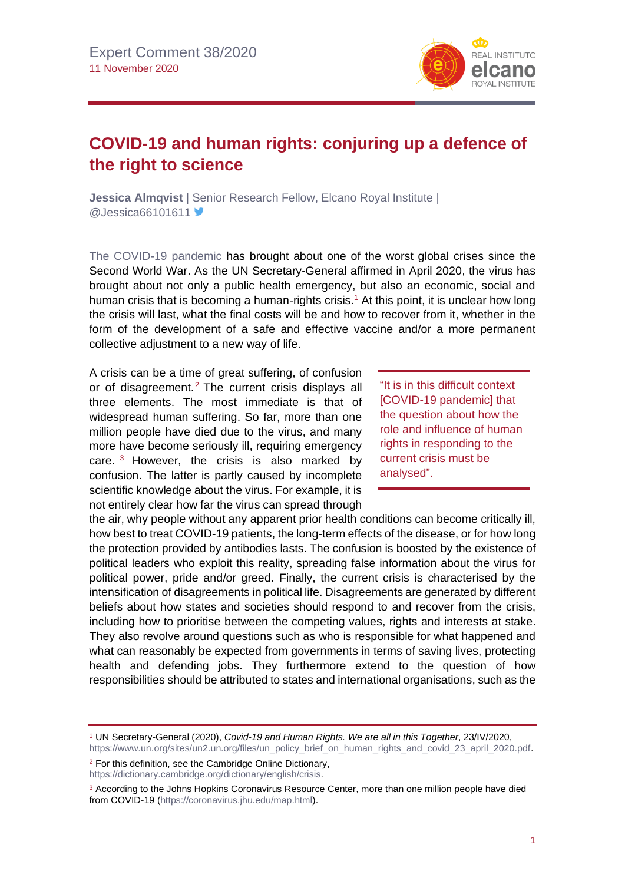

## **COVID-19 and human rights: conjuring up a defence of the right to science**

**Jessica Almqvist** | Senior Research Fellow, Elcano Royal Institute | @Jessica66101611

[The COVID-19 pandemic](https://especiales.realinstitutoelcano.org/coronavirus/?lang=en) has brought about one of the worst global crises since the Second World War. As the UN Secretary-General affirmed in April 2020, the virus has brought about not only a public health emergency, but also an economic, social and human crisis that is becoming a human-rights crisis.<sup>1</sup> At this point, it is unclear how long the crisis will last, what the final costs will be and how to recover from it, whether in the form of the development of a safe and effective vaccine and/or a more permanent collective adjustment to a new way of life.

A crisis can be a time of great suffering, of confusion or of disagreement.<sup>2</sup> The current crisis displays all three elements. The most immediate is that of widespread human suffering. So far, more than one million people have died due to the virus, and many more have become seriously ill, requiring emergency care.  $3$  However, the crisis is also marked by confusion. The latter is partly caused by incomplete scientific knowledge about the virus. For example, it is not entirely clear how far the virus can spread through

"It is in this difficult context [COVID-19 pandemic] that the question about how the role and influence of human rights in responding to the current crisis must be analysed".

the air, why people without any apparent prior health conditions can become critically ill, how best to treat COVID-19 patients, the long-term effects of the disease, or for how long the protection provided by antibodies lasts. The confusion is boosted by the existence of political leaders who exploit this reality, spreading false information about the virus for political power, pride and/or greed. Finally, the current crisis is characterised by the intensification of disagreements in political life. Disagreements are generated by different beliefs about how states and societies should respond to and recover from the crisis, including how to prioritise between the competing values, rights and interests at stake. They also revolve around questions such as who is responsible for what happened and what can reasonably be expected from governments in terms of saving lives, protecting health and defending jobs. They furthermore extend to the question of how responsibilities should be attributed to states and international organisations, such as the

<sup>2</sup> For this definition, see the Cambridge Online Dictionary,

[https://dictionary.cambridge.org/dictionary/english/crisis.](https://dictionary.cambridge.org/dictionary/english/crisis)

<sup>1</sup> UN Secretary-General (2020), *Covid-19 and Human Rights. We are all in this Together*, 23/IV/2020, [https://www.un.org/sites/un2.un.org/files/un\\_policy\\_brief\\_on\\_human\\_rights\\_and\\_covid\\_23\\_april\\_2020.pdf.](https://www.un.org/sites/un2.un.org/files/un_policy_brief_on_human_rights_and_covid_23_april_2020.pdf)

<sup>&</sup>lt;sup>3</sup> According to the Johns Hopkins Coronavirus Resource Center, more than one million people have died from COVID-19 [\(https://coronavirus.jhu.edu/map.html\)](https://coronavirus.jhu.edu/map.html).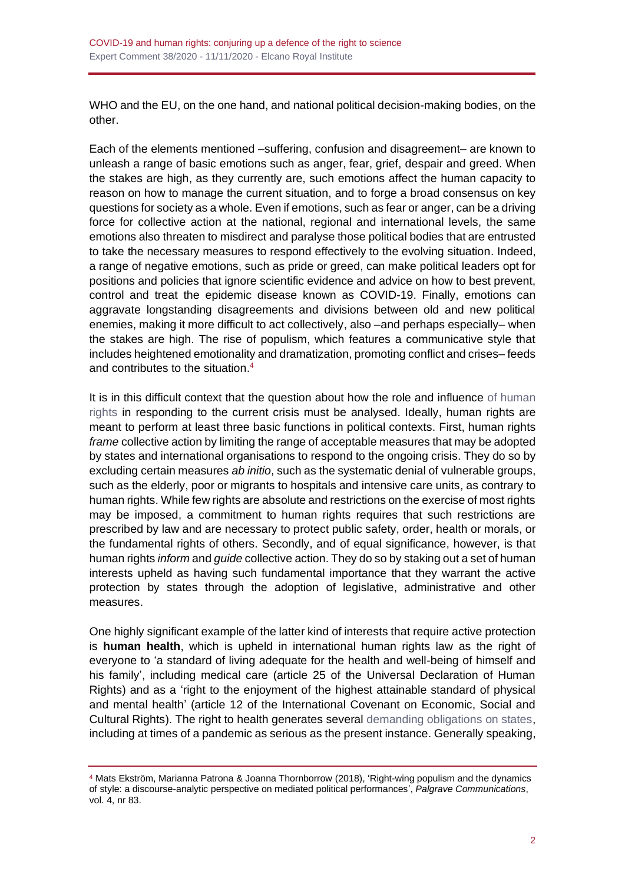WHO and the EU, on the one hand, and national political decision-making bodies, on the other.

Each of the elements mentioned –suffering, confusion and disagreement– are known to unleash a range of basic emotions such as anger, fear, grief, despair and greed. When the stakes are high, as they currently are, such emotions affect the human capacity to reason on how to manage the current situation, and to forge a broad consensus on key questions for society as a whole. Even if emotions, such as fear or anger, can be a driving force for collective action at the national, regional and international levels, the same emotions also threaten to misdirect and paralyse those political bodies that are entrusted to take the necessary measures to respond effectively to the evolving situation. Indeed, a range of negative emotions, such as pride or greed, can make political leaders opt for positions and policies that ignore scientific evidence and advice on how to best prevent, control and treat the epidemic disease known as COVID-19. Finally, emotions can aggravate longstanding disagreements and divisions between old and new political enemies, making it more difficult to act collectively, also –and perhaps especially– when the stakes are high. The rise of populism, which features a communicative style that includes heightened emotionality and dramatization, promoting conflict and crises– feeds and contributes to the situation. 4

It is in this difficult context that the question about how the role and influence [of human](https://blog.realinstitutoelcano.org/en/tag/human-rights/) [rights](https://blog.realinstitutoelcano.org/en/tag/human-rights/) in responding to the current crisis must be analysed. Ideally, human rights are meant to perform at least three basic functions in political contexts. First, human rights *frame* collective action by limiting the range of acceptable measures that may be adopted by states and international organisations to respond to the ongoing crisis. They do so by excluding certain measures *ab initio*, such as the systematic denial of vulnerable groups, such as the elderly, poor or migrants to hospitals and intensive care units, as contrary to human rights. While few rights are absolute and restrictions on the exercise of most rights may be imposed, a commitment to human rights requires that such restrictions are prescribed by law and are necessary to protect public safety, order, health or morals, or the fundamental rights of others. Secondly, and of equal significance, however, is that human rights *inform* and *guide* collective action. They do so by staking out a set of human interests upheld as having such fundamental importance that they warrant the active protection by states through the adoption of legislative, administrative and other measures.

One highly significant example of the latter kind of interests that require active protection is **human health**, which is upheld in international human rights law as the right of everyone to 'a standard of living adequate for the health and well-being of himself and his family', including medical care (article 25 of the Universal Declaration of Human Rights) and as a 'right to the enjoyment of the highest attainable standard of physical and mental health' (article 12 of the International Covenant on Economic, Social and Cultural Rights). The right to health generates several [demanding obligations on states,](http://www.realinstitutoelcano.org/wps/portal/rielcano_en/contenido?WCM_GLOBAL_CONTEXT=/elcano/elcano_in/zonas_in/ari38-2020-arteaga-the-coronavirus-as-yardstick-of-global-health-policy) including at times of a pandemic as serious as the present instance. Generally speaking,

<sup>4</sup> Mats Ekström, Marianna Patrona & Joanna Thornborrow (2018), 'Right-wing populism and the dynamics of style: a discourse-analytic perspective on mediated political performances', *Palgrave Communications*, vol. 4, nr 83.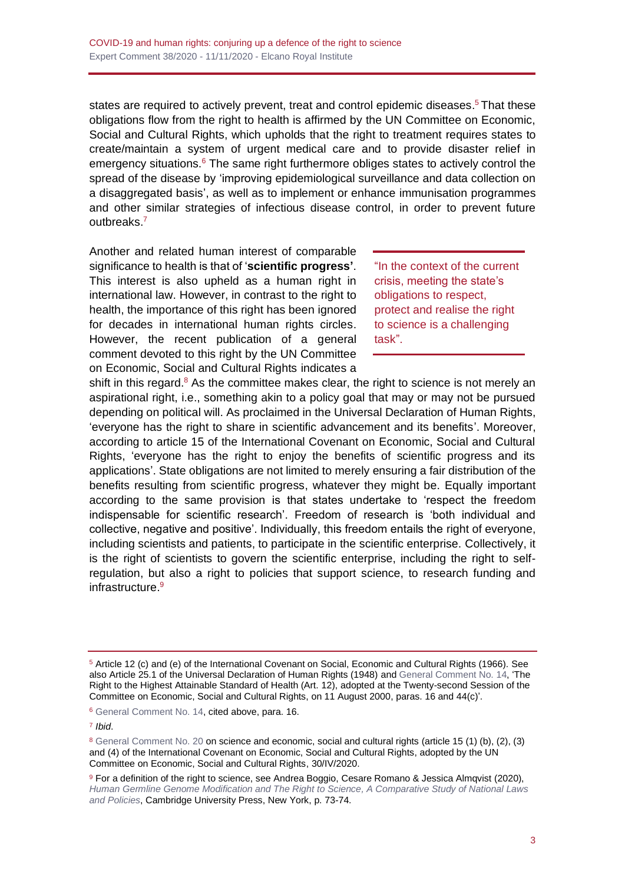states are required to actively prevent, treat and control epidemic diseases.<sup>5</sup> That these obligations flow from the right to health is affirmed by the UN Committee on Economic, Social and Cultural Rights, which upholds that the right to treatment requires states to create/maintain a system of urgent medical care and to provide disaster relief in emergency situations. $6$  The same right furthermore obliges states to actively control the spread of the disease by 'improving epidemiological surveillance and data collection on a disaggregated basis', as well as to implement or enhance immunisation programmes and other similar strategies of infectious disease control, in order to prevent future outbreaks.<sup>7</sup>

Another and related human interest of comparable significance to health is that of '**scientific progress'**. This interest is also upheld as a human right in international law. However, in contrast to the right to health, the importance of this right has been ignored for decades in international human rights circles. However, the recent publication of a general comment devoted to this right by the UN Committee on Economic, Social and Cultural Rights indicates a

"In the context of the current crisis, meeting the state's obligations to respect, protect and realise the right to science is a challenging task".

shift in this regard. $8$  As the committee makes clear, the right to science is not merely an aspirational right, i.e., something akin to a policy goal that may or may not be pursued depending on political will. As proclaimed in the Universal Declaration of Human Rights, 'everyone has the right to share in scientific advancement and its benefits'. Moreover, according to article 15 of the International Covenant on Economic, Social and Cultural Rights, 'everyone has the right to enjoy the benefits of scientific progress and its applications'. State obligations are not limited to merely ensuring a fair distribution of the benefits resulting from scientific progress, whatever they might be. Equally important according to the same provision is that states undertake to 'respect the freedom indispensable for scientific research'. Freedom of research is 'both individual and collective, negative and positive'. Individually, this freedom entails the right of everyone, including scientists and patients, to participate in the scientific enterprise. Collectively, it is the right of scientists to govern the scientific enterprise, including the right to selfregulation, but also a right to policies that support science, to research funding and infrastructure. 9

<sup>5</sup> Article 12 (c) and (e) of the International Covenant on Social, Economic and Cultural Rights (1966). See also Article 25.1 of the Universal Declaration of Human Rights (1948) and [General Comment No. 14,](https://tbinternet.ohchr.org/_layouts/15/treatybodyexternal/Download.aspx?symbolno=E%2fC.12%2f2000%2f4&Lang=en) 'The Right to the Highest Attainable Standard of Health (Art. 12), adopted at the Twenty-second Session of the Committee on Economic, Social and Cultural Rights, on 11 August 2000, paras. 16 and 44(c)'.

<sup>6</sup> [General Comment No. 14,](https://tbinternet.ohchr.org/_layouts/15/treatybodyexternal/Download.aspx?symbolno=E%2fC.12%2f2000%2f4&Lang=en) cited above, para. 16.

<sup>7</sup> *Ibid*.

<sup>8</sup> [General Comment No. 20](https://tbinternet.ohchr.org/_layouts/15/treatybodyexternal/Download.aspx?symbolno=E%2fC.12%2fGC%2f25&Lang=en) on science and economic, social and cultural rights (article 15 (1) (b), (2), (3) and (4) of the International Covenant on Economic, Social and Cultural Rights, adopted by the UN Committee on Economic, Social and Cultural Rights, 30/IV/2020.

<sup>9</sup> For a definition of the right to science, see Andrea Boggio, Cesare Romano & Jessica Almgvist (2020), *[Human Germline Genome Modification and The Right to Science,](https://www.cambridge.org/core/books/human-germline-genome-modification-and-the-right-to-science/5FAE1D23AA028F19C0AF23BC8E40D1B0) A Comparative Study of National Laws and Policies*, Cambridge University Press, New York, p. 73-74.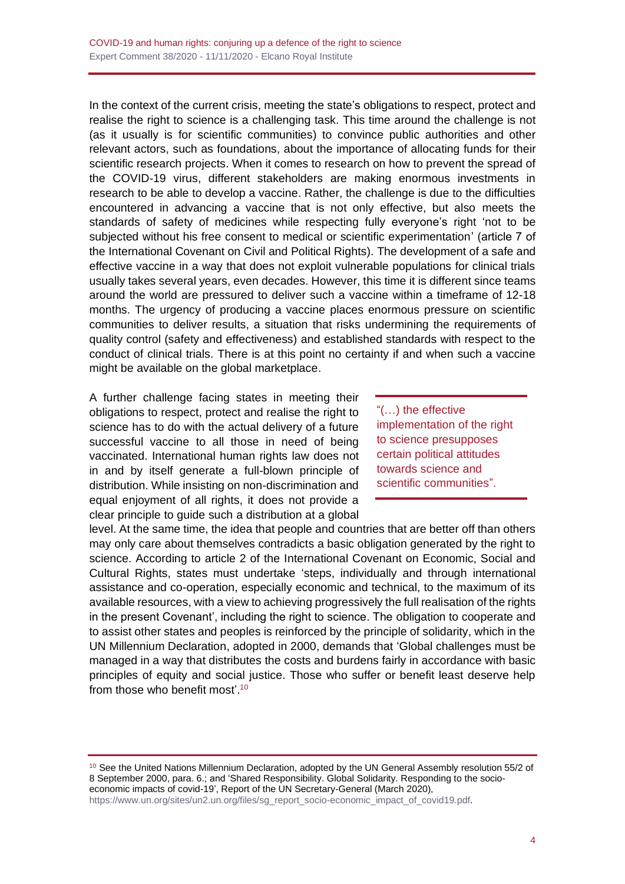In the context of the current crisis, meeting the state's obligations to respect, protect and realise the right to science is a challenging task. This time around the challenge is not (as it usually is for scientific communities) to convince public authorities and other relevant actors, such as foundations, about the importance of allocating funds for their scientific research projects. When it comes to research on how to prevent the spread of the COVID-19 virus, different stakeholders are making enormous investments in research to be able to develop a vaccine. Rather, the challenge is due to the difficulties encountered in advancing a vaccine that is not only effective, but also meets the standards of safety of medicines while respecting fully everyone's right 'not to be subjected without his free consent to medical or scientific experimentation' (article 7 of the International Covenant on Civil and Political Rights). The development of a safe and effective vaccine in a way that does not exploit vulnerable populations for clinical trials usually takes several years, even decades. However, this time it is different since teams around the world are pressured to deliver such a vaccine within a timeframe of 12-18 months. The urgency of producing a vaccine places enormous pressure on scientific communities to deliver results, a situation that risks undermining the requirements of quality control (safety and effectiveness) and established standards with respect to the conduct of clinical trials. There is at this point no certainty if and when such a vaccine might be available on the global marketplace.

A further challenge facing states in meeting their obligations to respect, protect and realise the right to science has to do with the actual delivery of a future successful vaccine to all those in need of being vaccinated. International human rights law does not in and by itself generate a full-blown principle of distribution. While insisting on non-discrimination and equal enjoyment of all rights, it does not provide a clear principle to guide such a distribution at a global

"(…) the effective implementation of the right to science presupposes certain political attitudes towards science and scientific communities".

level. At the same time, the idea that people and countries that are better off than others may only care about themselves contradicts a basic obligation generated by the right to science. According to article 2 of the International Covenant on Economic, Social and Cultural Rights, states must undertake 'steps, individually and through international assistance and co-operation, especially economic and technical, to the maximum of its available resources, with a view to achieving progressively the full realisation of the rights in the present Covenant', including the right to science. The obligation to cooperate and to assist other states and peoples is reinforced by the principle of solidarity, which in the UN Millennium Declaration, adopted in 2000, demands that 'Global challenges must be managed in a way that distributes the costs and burdens fairly in accordance with basic principles of equity and social justice. Those who suffer or benefit least deserve help from those who benefit most'.<sup>10</sup>

<sup>10</sup> See the United Nations Millennium Declaration, adopted by the UN General Assembly resolution 55/2 of 8 September 2000, para. 6.; and 'Shared Responsibility. Global Solidarity. Responding to the socioeconomic impacts of covid-19', Report of the UN Secretary-General (March 2020),

[https://www.un.org/sites/un2.un.org/files/sg\\_report\\_socio-economic\\_impact\\_of\\_covid19.pdf.](https://www.un.org/sites/un2.un.org/files/sg_report_socio-economic_impact_of_covid19.pdf)